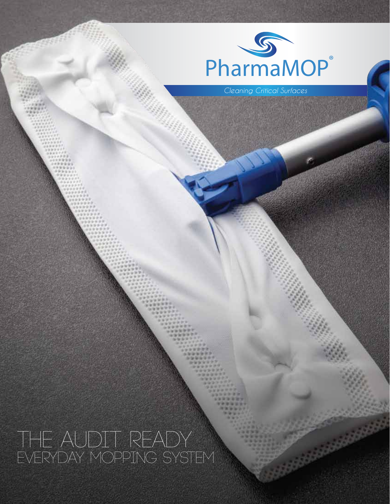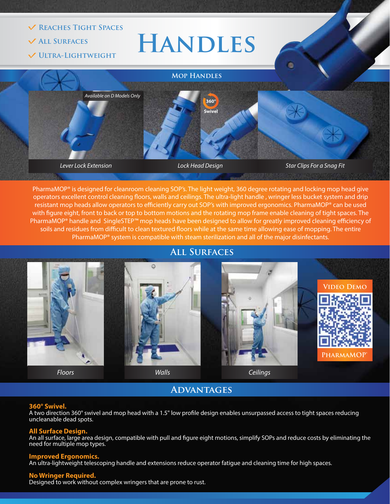

PharmaMOP® is designed for cleanroom cleaning SOP's. The light weight, 360 degree rotating and locking mop head give operators excellent control cleaning floors, walls and ceilings. The ultra-light handle, wringer less bucket system and drip resistant mop heads allow operators to efficiently carry out SOP's with improved ergonomics. PharmaMOP® can be used with figure eight, front to back or top to bottom motions and the rotating mop frame enable cleaning of tight spaces. The PharmaMOP® handle and SingleSTEP™ mop heads have been designed to allow for greatly improved cleaning efficiency of soils and residues from difficult to clean textured floors while at the same time allowing ease of mopping. The entire PharmaMOP<sup>®</sup> system is compatible with steam sterilization and all of the major disinfectants.

**All Surfaces**



**Advantages**

#### **360° Swivel.**

A two direction 360° swivel and mop head with a 1.5" low profile design enables unsurpassed access to tight spaces reducing uncleanable dead spots.

#### **All Surface Design.**

An all surface, large area design, compatible with pull and figure eight motions, simplify SOPs and reduce costs by eliminating the need for multiple mop types.

#### **Improved Ergonomics.**

An ultra-lightweight telescoping handle and extensions reduce operator fatigue and cleaning time for high spaces.

#### **No Wringer Required.**

Designed to work without complex wringers that are prone to rust.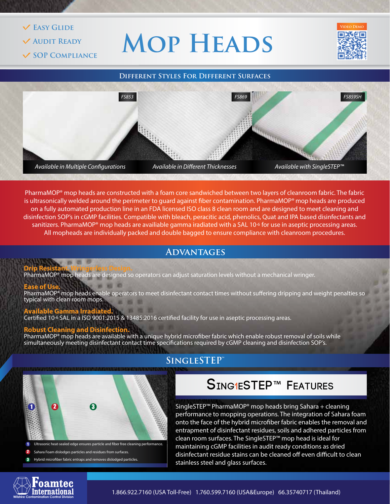#### **Easy Glide**

- **Audit Ready**
- **SOP Compliance**

# **Mop Heads**





PharmaMOP<sup>®</sup> mop heads are constructed with a foam core sandwiched between two layers of cleanroom fabric. The fabric is ultrasonically welded around the perimeter to quard against fiber contamination. PharmaMOP® mop heads are produced on a fully automated production line in an FDA licensed ISO class 8 clean room and are designed to meet cleaning and disinfection SOP's in cGMP facilities. Compatible with bleach, peracitic acid, phenolics, Quat and IPA based disinfectants and sanitizers. PharmaMOP<sup>®</sup> mop heads are availiable gamma iradiated with a SAL 10<sup>-6</sup> for use in aseptic processing areas. All mopheads are individually packed and double bagged to ensure compliance with cleanroom procedures.

## **ADVANTAGES**

#### **Drip Resistant. Wringerless Design.**

PharmaMOP<sup>®</sup> mop heads are designed so operators can adjust saturation levels without a mechanical wringer.

#### **Ease of Use.**

PharmaMOP® mop heads enable operators to meet disinfectant contact times without suffering dripping and weight penalties so typical with clean room mops. ■ 图 单

#### **Available Gamma Irradiated.** Certified 10<sup>-6</sup> SAL in a ISO 9001:2015 & 13485:2016 certified facility for use in aseptic processing areas.

#### **Robust Cleaning and Disinf**

PharmaMOP® mop heads are available with a unique hybrid microfiber fabric which enable robust removal of soils while simultaneously meeting disinfectant contact time specifications required by cGMP cleaning and disinfection SOP's.



- 1 Ultrasonic heat-sealed edge ensures particle and ber free cleaning performance.
- Sahara Foam dislodges particles and residues from surfaces. 2
- Hybrid microfiber fabric entraps and removes dislodged particles. 3

# **SingleSTEP™**

# **Sing1eSTEP**™ **Features**

SingleSTEP™ PharmaMOP® mop heads bring Sahara + cleaning performance to mopping operations. The integration of Sahara foam onto the face of the hybrid microfiber fabric enables the removal and entrapment of disinfectant residues, soils and adhered particles from clean room surfaces. The SingleSTEP™ mop head is ideal for maintaining cGMP facilities in audit ready conditions as dried disinfectant residue stains can be cleaned off even difficult to clean stainless steel and glass surfaces.



*1.866.922.7160 (USA Toll-Free) 1.760.599.7160 (USA&Europe) 66.35740717 (Thailand)* **Wilshire Contamination Control Division**